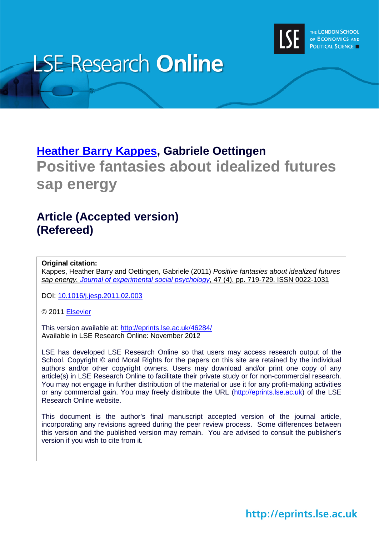

# **LSE Research Online**

# **[Heather Barry Kappes,](http://www2.lse.ac.uk/researchAndExpertise/Experts/profile.aspx?KeyValue=h.kappes@lse.ac.uk) Gabriele Oettingen Positive fantasies about idealized futures sap energy**

# **Article (Accepted version) (Refereed)**

# **Original citation:**

Kappes, Heather Barry and Oettingen, Gabriele (2011) *Positive fantasies about idealized futures sap energy. [Journal of experimental social psychology](http://www.journals.elsevier.com/journal-of-experimental-social-psychology/)*, 47 (4). pp. 719-729. ISSN 0022-1031

DOI: [10.1016/j.jesp.2011.02.003](http://dx.doi.org/10.1016/j.jesp.2011.02.003)

© 2011 [Elsevier](http://www.elsevier.com/)

This version available at:<http://eprints.lse.ac.uk/46284/> Available in LSE Research Online: November 2012

LSE has developed LSE Research Online so that users may access research output of the School. Copyright © and Moral Rights for the papers on this site are retained by the individual authors and/or other copyright owners. Users may download and/or print one copy of any article(s) in LSE Research Online to facilitate their private study or for non-commercial research. You may not engage in further distribution of the material or use it for any profit-making activities or any commercial gain. You may freely distribute the URL (http://eprints.lse.ac.uk) of the LSE Research Online website.

This document is the author's final manuscript accepted version of the journal article, incorporating any revisions agreed during the peer review process. Some differences between this version and the published version may remain. You are advised to consult the publisher's version if you wish to cite from it.

http://eprints.lse.ac.uk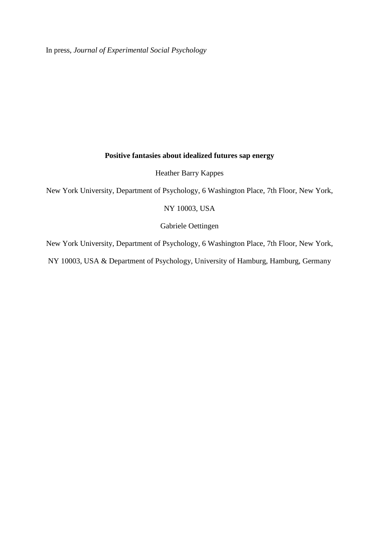In press, *Journal of Experimental Social Psychology*

# **Positive fantasies about idealized futures sap energy**

Heather Barry Kappes

New York University, Department of Psychology, 6 Washington Place, 7th Floor, New York,

# NY 10003, USA

Gabriele Oettingen

New York University, Department of Psychology, 6 Washington Place, 7th Floor, New York,

NY 10003, USA & Department of Psychology, University of Hamburg, Hamburg, Germany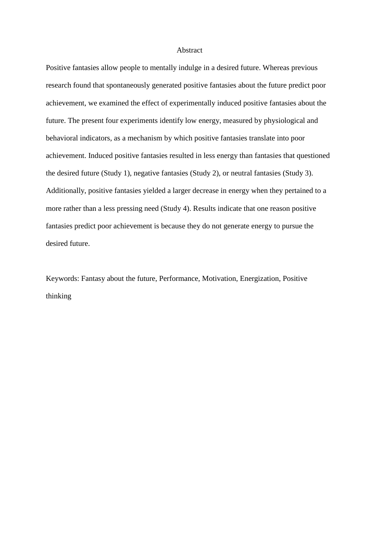#### Abstract

Positive fantasies allow people to mentally indulge in a desired future. Whereas previous research found that spontaneously generated positive fantasies about the future predict poor achievement, we examined the effect of experimentally induced positive fantasies about the future. The present four experiments identify low energy, measured by physiological and behavioral indicators, as a mechanism by which positive fantasies translate into poor achievement. Induced positive fantasies resulted in less energy than fantasies that questioned the desired future (Study 1), negative fantasies (Study 2), or neutral fantasies (Study 3). Additionally, positive fantasies yielded a larger decrease in energy when they pertained to a more rather than a less pressing need (Study 4). Results indicate that one reason positive fantasies predict poor achievement is because they do not generate energy to pursue the desired future.

Keywords: Fantasy about the future, Performance, Motivation, Energization, Positive thinking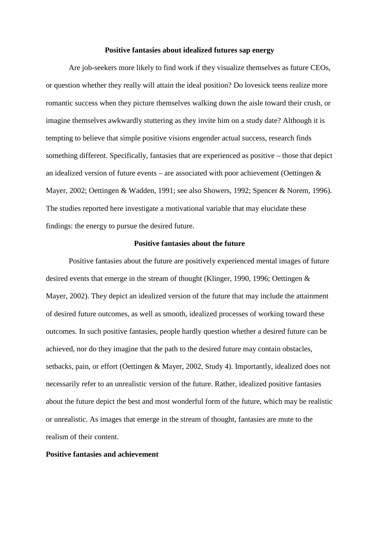#### **Positive fantasies about idealized futures sap energy**

Are job-seekers more likely to find work if they visualize themselves as future CEOs, or question whether they really will attain the ideal position? Do lovesick teens realize more romantic success when they picture themselves walking down the aisle toward their crush, or imagine themselves awkwardly stuttering as they invite him on a study date? Although it is tempting to believe that simple positive visions engender actual success, research finds something different. Specifically, fantasies that are experienced as positive – those that depict an idealized version of future events – are associated with poor achievement (Oettingen & Mayer, 2002; Oettingen & Wadden, 1991; see also Showers, 1992; Spencer & Norem, 1996). The studies reported here investigate a motivational variable that may elucidate these findings: the energy to pursue the desired future.

#### **Positive fantasies about the future**

Positive fantasies about the future are positively experienced mental images of future desired events that emerge in the stream of thought (Klinger, 1990, 1996; Oettingen & Mayer, 2002). They depict an idealized version of the future that may include the attainment of desired future outcomes, as well as smooth, idealized processes of working toward these outcomes. In such positive fantasies, people hardly question whether a desired future can be achieved, nor do they imagine that the path to the desired future may contain obstacles, setbacks, pain, or effort (Oettingen & Mayer, 2002, Study 4). Importantly, idealized does not necessarily refer to an unrealistic version of the future. Rather, idealized positive fantasies about the future depict the best and most wonderful form of the future, which may be realistic or unrealistic. As images that emerge in the stream of thought, fantasies are mute to the realism of their content.

#### **Positive fantasies and achievement**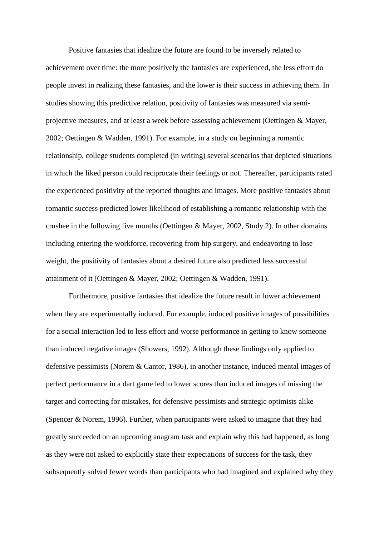Positive fantasies that idealize the future are found to be inversely related to achievement over time: the more positively the fantasies are experienced, the less effort do people invest in realizing these fantasies, and the lower is their success in achieving them. In studies showing this predictive relation, positivity of fantasies was measured via semiprojective measures, and at least a week before assessing achievement (Oettingen & Mayer, 2002; Oettingen & Wadden, 1991). For example, in a study on beginning a romantic relationship, college students completed (in writing) several scenarios that depicted situations in which the liked person could reciprocate their feelings or not. Thereafter, participants rated the experienced positivity of the reported thoughts and images. More positive fantasies about romantic success predicted lower likelihood of establishing a romantic relationship with the crushee in the following five months (Oettingen & Mayer, 2002, Study 2). In other domains including entering the workforce, recovering from hip surgery, and endeavoring to lose weight, the positivity of fantasies about a desired future also predicted less successful attainment of it (Oettingen & Mayer, 2002; Oettingen & Wadden, 1991).

Furthermore, positive fantasies that idealize the future result in lower achievement when they are experimentally induced. For example, induced positive images of possibilities for a social interaction led to less effort and worse performance in getting to know someone than induced negative images (Showers, 1992). Although these findings only applied to defensive pessimists (Norem & Cantor, 1986), in another instance, induced mental images of perfect performance in a dart game led to lower scores than induced images of missing the target and correcting for mistakes, for defensive pessimists and strategic optimists alike (Spencer & Norem, 1996). Further, when participants were asked to imagine that they had greatly succeeded on an upcoming anagram task and explain why this had happened, as long as they were not asked to explicitly state their expectations of success for the task, they subsequently solved fewer words than participants who had imagined and explained why they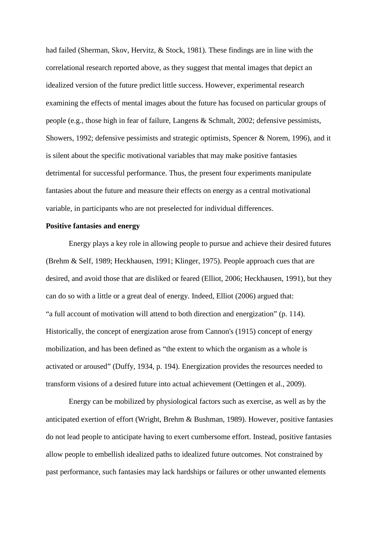had failed (Sherman, Skov, Hervitz, & Stock, 1981). These findings are in line with the correlational research reported above, as they suggest that mental images that depict an idealized version of the future predict little success. However, experimental research examining the effects of mental images about the future has focused on particular groups of people (e.g., those high in fear of failure, Langens & Schmalt, 2002; defensive pessimists, Showers, 1992; defensive pessimists and strategic optimists, Spencer & Norem, 1996), and it is silent about the specific motivational variables that may make positive fantasies detrimental for successful performance. Thus, the present four experiments manipulate fantasies about the future and measure their effects on energy as a central motivational variable, in participants who are not preselected for individual differences.

# **Positive fantasies and energy**

Energy plays a key role in allowing people to pursue and achieve their desired futures (Brehm & Self, 1989; Heckhausen, 1991; Klinger, 1975). People approach cues that are desired, and avoid those that are disliked or feared (Elliot, 2006; Heckhausen, 1991), but they can do so with a little or a great deal of energy. Indeed, Elliot (2006) argued that: "a full account of motivation will attend to both direction and energization" (p. 114). Historically, the concept of energization arose from Cannon's (1915) concept of energy mobilization, and has been defined as "the extent to which the organism as a whole is activated or aroused" (Duffy, 1934, p. 194). Energization provides the resources needed to transform visions of a desired future into actual achievement (Oettingen et al., 2009).

Energy can be mobilized by physiological factors such as exercise, as well as by the anticipated exertion of effort (Wright, Brehm & Bushman, 1989). However, positive fantasies do not lead people to anticipate having to exert cumbersome effort. Instead, positive fantasies allow people to embellish idealized paths to idealized future outcomes. Not constrained by past performance, such fantasies may lack hardships or failures or other unwanted elements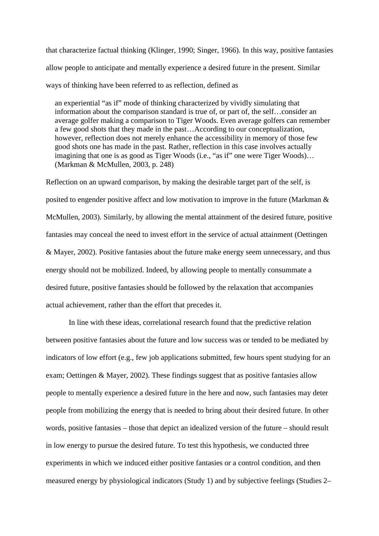that characterize factual thinking (Klinger, 1990; Singer, 1966). In this way, positive fantasies allow people to anticipate and mentally experience a desired future in the present. Similar ways of thinking have been referred to as reflection, defined as

an experiential "as if" mode of thinking characterized by vividly simulating that information about the comparison standard is true of, or part of, the self…consider an average golfer making a comparison to Tiger Woods. Even average golfers can remember a few good shots that they made in the past…According to our conceptualization, however, reflection does not merely enhance the accessibility in memory of those few good shots one has made in the past. Rather, reflection in this case involves actually imagining that one is as good as Tiger Woods (i.e., "as if" one were Tiger Woods)… (Markman & McMullen, 2003, p. 248)

Reflection on an upward comparison, by making the desirable target part of the self, is posited to engender positive affect and low motivation to improve in the future (Markman & McMullen, 2003). Similarly, by allowing the mental attainment of the desired future, positive fantasies may conceal the need to invest effort in the service of actual attainment (Oettingen & Mayer, 2002). Positive fantasies about the future make energy seem unnecessary, and thus energy should not be mobilized. Indeed, by allowing people to mentally consummate a desired future, positive fantasies should be followed by the relaxation that accompanies actual achievement, rather than the effort that precedes it.

In line with these ideas, correlational research found that the predictive relation between positive fantasies about the future and low success was or tended to be mediated by indicators of low effort (e.g., few job applications submitted, few hours spent studying for an exam; Oettingen & Mayer, 2002). These findings suggest that as positive fantasies allow people to mentally experience a desired future in the here and now, such fantasies may deter people from mobilizing the energy that is needed to bring about their desired future. In other words, positive fantasies – those that depict an idealized version of the future – should result in low energy to pursue the desired future. To test this hypothesis, we conducted three experiments in which we induced either positive fantasies or a control condition, and then measured energy by physiological indicators (Study 1) and by subjective feelings (Studies 2–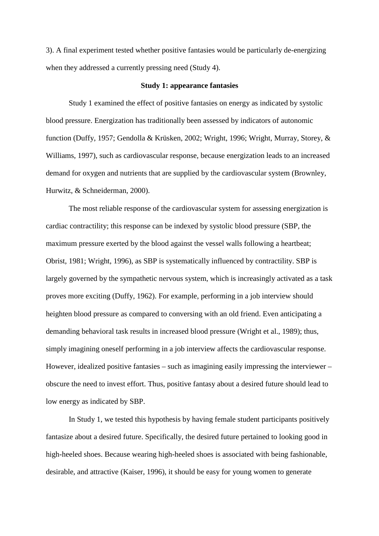3). A final experiment tested whether positive fantasies would be particularly de-energizing when they addressed a currently pressing need (Study 4).

#### **Study 1: appearance fantasies**

Study 1 examined the effect of positive fantasies on energy as indicated by systolic blood pressure. Energization has traditionally been assessed by indicators of autonomic function (Duffy, 1957; Gendolla & Krüsken, 2002; Wright, 1996; Wright, Murray, Storey, & Williams, 1997), such as cardiovascular response, because energization leads to an increased demand for oxygen and nutrients that are supplied by the cardiovascular system (Brownley, Hurwitz, & Schneiderman, 2000).

The most reliable response of the cardiovascular system for assessing energization is cardiac contractility; this response can be indexed by systolic blood pressure (SBP, the maximum pressure exerted by the blood against the vessel walls following a heartbeat; Obrist, 1981; Wright, 1996), as SBP is systematically influenced by contractility. SBP is largely governed by the sympathetic nervous system, which is increasingly activated as a task proves more exciting (Duffy, 1962). For example, performing in a job interview should heighten blood pressure as compared to conversing with an old friend. Even anticipating a demanding behavioral task results in increased blood pressure (Wright et al., 1989); thus, simply imagining oneself performing in a job interview affects the cardiovascular response. However, idealized positive fantasies – such as imagining easily impressing the interviewer – obscure the need to invest effort. Thus, positive fantasy about a desired future should lead to low energy as indicated by SBP.

In Study 1, we tested this hypothesis by having female student participants positively fantasize about a desired future. Specifically, the desired future pertained to looking good in high-heeled shoes. Because wearing high-heeled shoes is associated with being fashionable, desirable, and attractive (Kaiser, 1996), it should be easy for young women to generate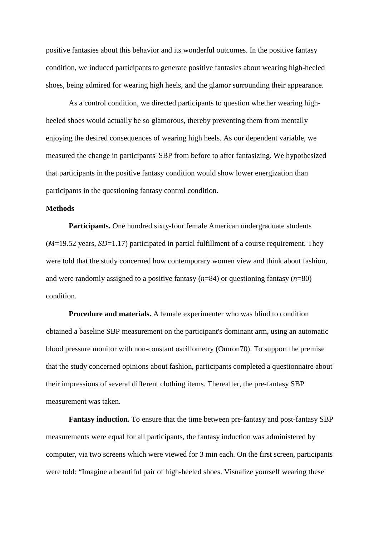positive fantasies about this behavior and its wonderful outcomes. In the positive fantasy condition, we induced participants to generate positive fantasies about wearing high-heeled shoes, being admired for wearing high heels, and the glamor surrounding their appearance.

As a control condition, we directed participants to question whether wearing highheeled shoes would actually be so glamorous, thereby preventing them from mentally enjoying the desired consequences of wearing high heels. As our dependent variable, we measured the change in participants' SBP from before to after fantasizing. We hypothesized that participants in the positive fantasy condition would show lower energization than participants in the questioning fantasy control condition.

# **Methods**

**Participants.** One hundred sixty-four female American undergraduate students (*M*=19.52 years, *SD*=1.17) participated in partial fulfillment of a course requirement. They were told that the study concerned how contemporary women view and think about fashion, and were randomly assigned to a positive fantasy (*n*=84) or questioning fantasy (*n*=80) condition.

**Procedure and materials.** A female experimenter who was blind to condition obtained a baseline SBP measurement on the participant's dominant arm, using an automatic blood pressure monitor with non-constant oscillometry (Omron70). To support the premise that the study concerned opinions about fashion, participants completed a questionnaire about their impressions of several different clothing items. Thereafter, the pre-fantasy SBP measurement was taken.

**Fantasy induction.** To ensure that the time between pre-fantasy and post-fantasy SBP measurements were equal for all participants, the fantasy induction was administered by computer, via two screens which were viewed for 3 min each. On the first screen, participants were told: "Imagine a beautiful pair of high-heeled shoes. Visualize yourself wearing these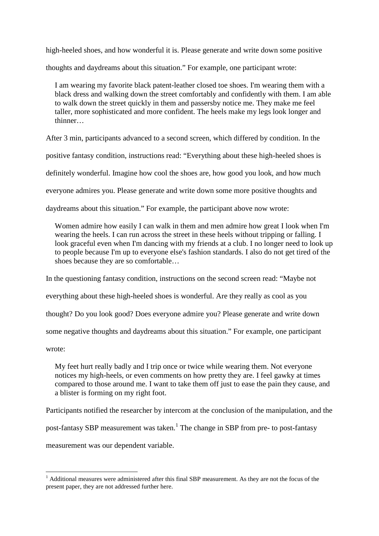high-heeled shoes, and how wonderful it is. Please generate and write down some positive thoughts and daydreams about this situation." For example, one participant wrote:

I am wearing my favorite black patent-leather closed toe shoes. I'm wearing them with a black dress and walking down the street comfortably and confidently with them. I am able to walk down the street quickly in them and passersby notice me. They make me feel taller, more sophisticated and more confident. The heels make my legs look longer and thinner…

After 3 min, participants advanced to a second screen, which differed by condition. In the

positive fantasy condition, instructions read: "Everything about these high-heeled shoes is

definitely wonderful. Imagine how cool the shoes are, how good you look, and how much

everyone admires you. Please generate and write down some more positive thoughts and

daydreams about this situation." For example, the participant above now wrote:

Women admire how easily I can walk in them and men admire how great I look when I'm wearing the heels. I can run across the street in these heels without tripping or falling. I look graceful even when I'm dancing with my friends at a club. I no longer need to look up to people because I'm up to everyone else's fashion standards. I also do not get tired of the shoes because they are so comfortable…

In the questioning fantasy condition, instructions on the second screen read: "Maybe not

everything about these high-heeled shoes is wonderful. Are they really as cool as you

thought? Do you look good? Does everyone admire you? Please generate and write down

some negative thoughts and daydreams about this situation." For example, one participant

wrote:

l

My feet hurt really badly and I trip once or twice while wearing them. Not everyone notices my high-heels, or even comments on how pretty they are. I feel gawky at times compared to those around me. I want to take them off just to ease the pain they cause, and a blister is forming on my right foot.

Participants notified the researcher by intercom at the conclusion of the manipulation, and the

post-fantasy SBP measurement was taken.<sup>1</sup> The change in SBP from pre- to post-fantasy

measurement was our dependent variable.

<sup>&</sup>lt;sup>1</sup> Additional measures were administered after this final SBP measurement. As they are not the focus of the present paper, they are not addressed further here.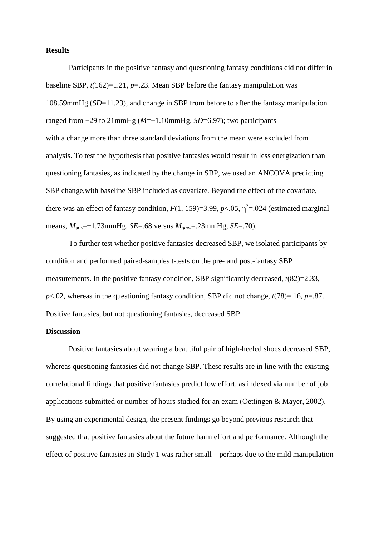#### **Results**

Participants in the positive fantasy and questioning fantasy conditions did not differ in baseline SBP,  $t(162)=1.21$ ,  $p=.23$ . Mean SBP before the fantasy manipulation was 108.59mmHg (*SD*=11.23), and change in SBP from before to after the fantasy manipulation ranged from −29 to 21mmHg (*M*=−1.10mmHg, *SD*=6.97); two participants with a change more than three standard deviations from the mean were excluded from analysis. To test the hypothesis that positive fantasies would result in less energization than questioning fantasies, as indicated by the change in SBP, we used an ANCOVA predicting SBP change,with baseline SBP included as covariate. Beyond the effect of the covariate, there was an effect of fantasy condition,  $F(1, 159)=3.99$ ,  $p<.05$ ,  $\eta^2=0.024$  (estimated marginal means, *M*pos=−1.73mmHg, *SE*=.68 versus *Mques*=.23mmHg, *SE*=.70).

To further test whether positive fantasies decreased SBP, we isolated participants by condition and performed paired-samples t-tests on the pre- and post-fantasy SBP measurements. In the positive fantasy condition, SBP significantly decreased, *t*(82)=2.33, *p*<.02, whereas in the questioning fantasy condition, SBP did not change, *t*(78)=.16, *p*=.87. Positive fantasies, but not questioning fantasies, decreased SBP.

## **Discussion**

Positive fantasies about wearing a beautiful pair of high-heeled shoes decreased SBP, whereas questioning fantasies did not change SBP. These results are in line with the existing correlational findings that positive fantasies predict low effort, as indexed via number of job applications submitted or number of hours studied for an exam (Oettingen & Mayer, 2002). By using an experimental design, the present findings go beyond previous research that suggested that positive fantasies about the future harm effort and performance. Although the effect of positive fantasies in Study 1 was rather small – perhaps due to the mild manipulation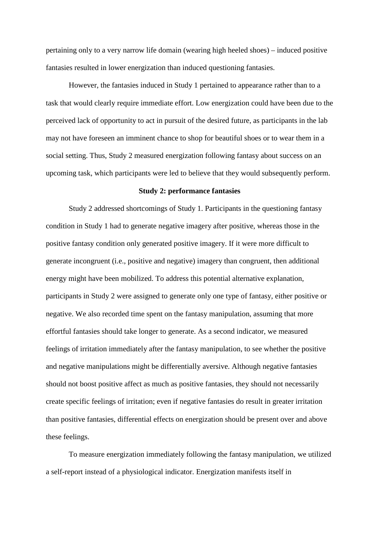pertaining only to a very narrow life domain (wearing high heeled shoes) – induced positive fantasies resulted in lower energization than induced questioning fantasies.

However, the fantasies induced in Study 1 pertained to appearance rather than to a task that would clearly require immediate effort. Low energization could have been due to the perceived lack of opportunity to act in pursuit of the desired future, as participants in the lab may not have foreseen an imminent chance to shop for beautiful shoes or to wear them in a social setting. Thus, Study 2 measured energization following fantasy about success on an upcoming task, which participants were led to believe that they would subsequently perform.

#### **Study 2: performance fantasies**

Study 2 addressed shortcomings of Study 1. Participants in the questioning fantasy condition in Study 1 had to generate negative imagery after positive, whereas those in the positive fantasy condition only generated positive imagery. If it were more difficult to generate incongruent (i.e., positive and negative) imagery than congruent, then additional energy might have been mobilized. To address this potential alternative explanation, participants in Study 2 were assigned to generate only one type of fantasy, either positive or negative. We also recorded time spent on the fantasy manipulation, assuming that more effortful fantasies should take longer to generate. As a second indicator, we measured feelings of irritation immediately after the fantasy manipulation, to see whether the positive and negative manipulations might be differentially aversive. Although negative fantasies should not boost positive affect as much as positive fantasies, they should not necessarily create specific feelings of irritation; even if negative fantasies do result in greater irritation than positive fantasies, differential effects on energization should be present over and above these feelings.

To measure energization immediately following the fantasy manipulation, we utilized a self-report instead of a physiological indicator. Energization manifests itself in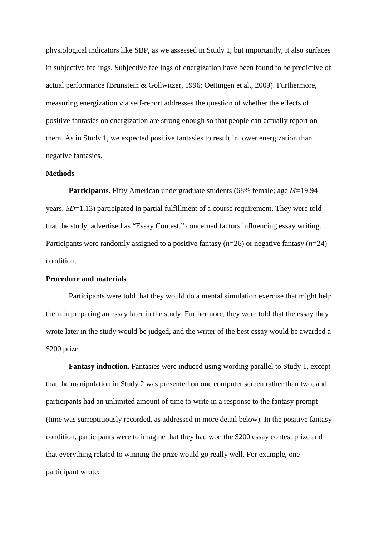physiological indicators like SBP, as we assessed in Study 1, but importantly, it also surfaces in subjective feelings. Subjective feelings of energization have been found to be predictive of actual performance (Brunstein & Gollwitzer, 1996; Oettingen et al., 2009). Furthermore, measuring energization via self-report addresses the question of whether the effects of positive fantasies on energization are strong enough so that people can actually report on them. As in Study 1, we expected positive fantasies to result in lower energization than negative fantasies.

## **Methods**

**Participants.** Fifty American undergraduate students (68% female; age *M*=19.94 years, *SD*=1.13) participated in partial fulfillment of a course requirement. They were told that the study, advertised as "Essay Contest," concerned factors influencing essay writing. Participants were randomly assigned to a positive fantasy (*n*=26) or negative fantasy (*n*=24) condition.

#### **Procedure and materials**

Participants were told that they would do a mental simulation exercise that might help them in preparing an essay later in the study. Furthermore, they were told that the essay they wrote later in the study would be judged, and the writer of the best essay would be awarded a \$200 prize.

**Fantasy induction.** Fantasies were induced using wording parallel to Study 1, except that the manipulation in Study 2 was presented on one computer screen rather than two, and participants had an unlimited amount of time to write in a response to the fantasy prompt (time was surreptitiously recorded, as addressed in more detail below). In the positive fantasy condition, participants were to imagine that they had won the \$200 essay contest prize and that everything related to winning the prize would go really well. For example, one participant wrote: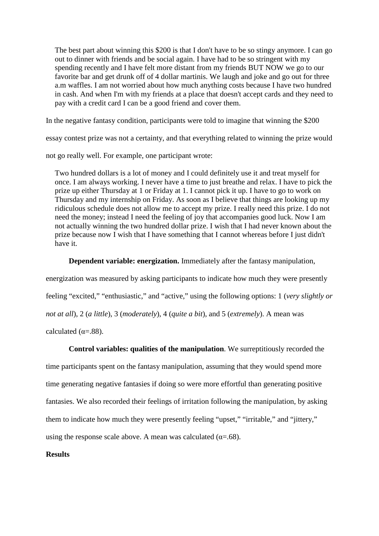The best part about winning this \$200 is that I don't have to be so stingy anymore. I can go out to dinner with friends and be social again. I have had to be so stringent with my spending recently and I have felt more distant from my friends BUT NOW we go to our favorite bar and get drunk off of 4 dollar martinis. We laugh and joke and go out for three a.m waffles. I am not worried about how much anything costs because I have two hundred in cash. And when I'm with my friends at a place that doesn't accept cards and they need to pay with a credit card I can be a good friend and cover them.

In the negative fantasy condition, participants were told to imagine that winning the \$200

essay contest prize was not a certainty, and that everything related to winning the prize would

not go really well. For example, one participant wrote:

Two hundred dollars is a lot of money and I could definitely use it and treat myself for once. I am always working. I never have a time to just breathe and relax. I have to pick the prize up either Thursday at 1 or Friday at 1. I cannot pick it up. I have to go to work on Thursday and my internship on Friday. As soon as I believe that things are looking up my ridiculous schedule does not allow me to accept my prize. I really need this prize. I do not need the money; instead I need the feeling of joy that accompanies good luck. Now I am not actually winning the two hundred dollar prize. I wish that I had never known about the prize because now I wish that I have something that I cannot whereas before I just didn't have it.

**Dependent variable: energization.** Immediately after the fantasy manipulation,

energization was measured by asking participants to indicate how much they were presently

feeling "excited," "enthusiastic," and "active," using the following options: 1 (*very slightly or* 

*not at all*), 2 (*a little*), 3 (*moderately*), 4 (*quite a bit*), and 5 (*extremely*). A mean was

calculated  $(\alpha = .88)$ .

# **Control variables: qualities of the manipulation**. We surreptitiously recorded the

time participants spent on the fantasy manipulation, assuming that they would spend more time generating negative fantasies if doing so were more effortful than generating positive fantasies. We also recorded their feelings of irritation following the manipulation, by asking them to indicate how much they were presently feeling "upset," "irritable," and "jittery," using the response scale above. A mean was calculated ( $\alpha = .68$ ).

# **Results**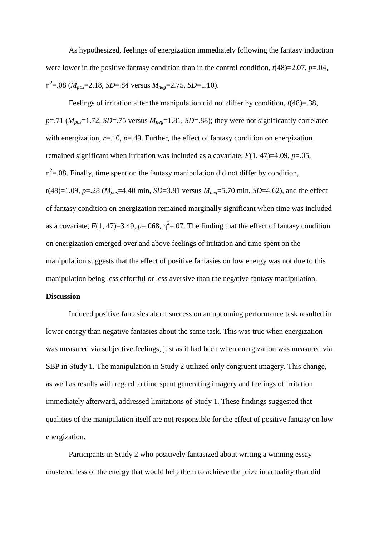As hypothesized, feelings of energization immediately following the fantasy induction were lower in the positive fantasy condition than in the control condition,  $t(48)=2.07$ ,  $p=.04$ ,  $\eta^2 = .08$  ( $M_{pos} = 2.18$ , *SD*=.84 versus  $M_{neg} = 2.75$ , *SD*=1.10).

Feelings of irritation after the manipulation did not differ by condition,  $t(48)=38$ ,  $p=0.71$  ( $M_{pos}=1.72$ , *SD*=.75 versus  $M_{neg}=1.81$ , *SD*=.88); they were not significantly correlated with energization,  $r=10$ ,  $p=.49$ . Further, the effect of fantasy condition on energization remained significant when irritation was included as a covariate, *F*(1, 47)=4.09, *p*=.05,  $\eta^2$ =.08. Finally, time spent on the fantasy manipulation did not differ by condition,  $t(48)=1.09, p=.28$  ( $M_{pos}=4.40$  min, *SD*=3.81 versus  $M_{neg}=5.70$  min, *SD*=4.62), and the effect of fantasy condition on energization remained marginally significant when time was included as a covariate,  $F(1, 47)=3.49$ ,  $p=.068$ ,  $\eta^2=.07$ . The finding that the effect of fantasy condition on energization emerged over and above feelings of irritation and time spent on the manipulation suggests that the effect of positive fantasies on low energy was not due to this manipulation being less effortful or less aversive than the negative fantasy manipulation. **Discussion** 

Induced positive fantasies about success on an upcoming performance task resulted in lower energy than negative fantasies about the same task. This was true when energization was measured via subjective feelings, just as it had been when energization was measured via SBP in Study 1. The manipulation in Study 2 utilized only congruent imagery. This change, as well as results with regard to time spent generating imagery and feelings of irritation immediately afterward, addressed limitations of Study 1. These findings suggested that qualities of the manipulation itself are not responsible for the effect of positive fantasy on low energization.

Participants in Study 2 who positively fantasized about writing a winning essay mustered less of the energy that would help them to achieve the prize in actuality than did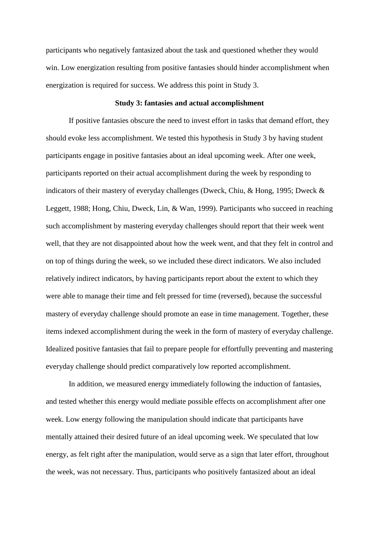participants who negatively fantasized about the task and questioned whether they would win. Low energization resulting from positive fantasies should hinder accomplishment when energization is required for success. We address this point in Study 3.

# **Study 3: fantasies and actual accomplishment**

If positive fantasies obscure the need to invest effort in tasks that demand effort, they should evoke less accomplishment. We tested this hypothesis in Study 3 by having student participants engage in positive fantasies about an ideal upcoming week. After one week, participants reported on their actual accomplishment during the week by responding to indicators of their mastery of everyday challenges (Dweck, Chiu, & Hong, 1995; Dweck & Leggett, 1988; Hong, Chiu, Dweck, Lin, & Wan, 1999). Participants who succeed in reaching such accomplishment by mastering everyday challenges should report that their week went well, that they are not disappointed about how the week went, and that they felt in control and on top of things during the week, so we included these direct indicators. We also included relatively indirect indicators, by having participants report about the extent to which they were able to manage their time and felt pressed for time (reversed), because the successful mastery of everyday challenge should promote an ease in time management. Together, these items indexed accomplishment during the week in the form of mastery of everyday challenge. Idealized positive fantasies that fail to prepare people for effortfully preventing and mastering everyday challenge should predict comparatively low reported accomplishment.

In addition, we measured energy immediately following the induction of fantasies, and tested whether this energy would mediate possible effects on accomplishment after one week. Low energy following the manipulation should indicate that participants have mentally attained their desired future of an ideal upcoming week. We speculated that low energy, as felt right after the manipulation, would serve as a sign that later effort, throughout the week, was not necessary. Thus, participants who positively fantasized about an ideal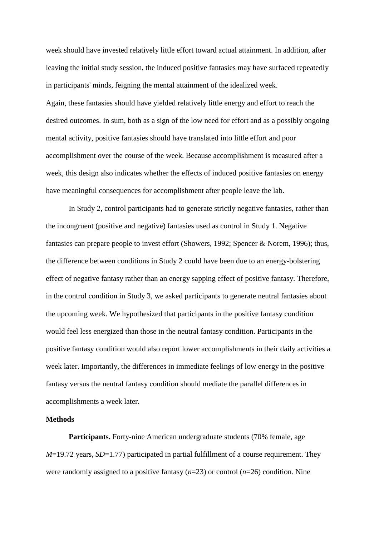week should have invested relatively little effort toward actual attainment. In addition, after leaving the initial study session, the induced positive fantasies may have surfaced repeatedly in participants' minds, feigning the mental attainment of the idealized week. Again, these fantasies should have yielded relatively little energy and effort to reach the desired outcomes. In sum, both as a sign of the low need for effort and as a possibly ongoing mental activity, positive fantasies should have translated into little effort and poor accomplishment over the course of the week. Because accomplishment is measured after a week, this design also indicates whether the effects of induced positive fantasies on energy have meaningful consequences for accomplishment after people leave the lab.

In Study 2, control participants had to generate strictly negative fantasies, rather than the incongruent (positive and negative) fantasies used as control in Study 1. Negative fantasies can prepare people to invest effort (Showers, 1992; Spencer & Norem, 1996); thus, the difference between conditions in Study 2 could have been due to an energy-bolstering effect of negative fantasy rather than an energy sapping effect of positive fantasy. Therefore, in the control condition in Study 3, we asked participants to generate neutral fantasies about the upcoming week. We hypothesized that participants in the positive fantasy condition would feel less energized than those in the neutral fantasy condition. Participants in the positive fantasy condition would also report lower accomplishments in their daily activities a week later. Importantly, the differences in immediate feelings of low energy in the positive fantasy versus the neutral fantasy condition should mediate the parallel differences in accomplishments a week later.

#### **Methods**

Participants. Forty-nine American undergraduate students (70% female, age *M*=19.72 years, *SD*=1.77) participated in partial fulfillment of a course requirement. They were randomly assigned to a positive fantasy (*n*=23) or control (*n*=26) condition. Nine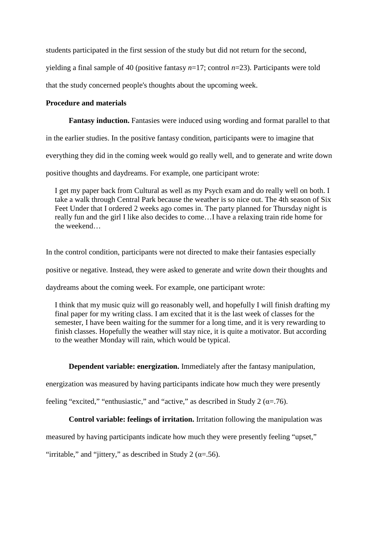students participated in the first session of the study but did not return for the second,

yielding a final sample of 40 (positive fantasy *n*=17; control *n*=23). Participants were told

that the study concerned people's thoughts about the upcoming week.

# **Procedure and materials**

**Fantasy induction.** Fantasies were induced using wording and format parallel to that

in the earlier studies. In the positive fantasy condition, participants were to imagine that

everything they did in the coming week would go really well, and to generate and write down

positive thoughts and daydreams. For example, one participant wrote:

I get my paper back from Cultural as well as my Psych exam and do really well on both. I take a walk through Central Park because the weather is so nice out. The 4th season of Six Feet Under that I ordered 2 weeks ago comes in. The party planned for Thursday night is really fun and the girl I like also decides to come…I have a relaxing train ride home for the weekend…

In the control condition, participants were not directed to make their fantasies especially

positive or negative. Instead, they were asked to generate and write down their thoughts and

daydreams about the coming week. For example, one participant wrote:

I think that my music quiz will go reasonably well, and hopefully I will finish drafting my final paper for my writing class. I am excited that it is the last week of classes for the semester, I have been waiting for the summer for a long time, and it is very rewarding to finish classes. Hopefully the weather will stay nice, it is quite a motivator. But according to the weather Monday will rain, which would be typical.

**Dependent variable: energization.** Immediately after the fantasy manipulation,

energization was measured by having participants indicate how much they were presently

feeling "excited," "enthusiastic," and "active," as described in Study 2 ( $\alpha$ =.76).

# **Control variable: feelings of irritation.** Irritation following the manipulation was

measured by having participants indicate how much they were presently feeling "upset,"

"irritable," and "jittery," as described in Study 2 ( $\alpha$ =.56).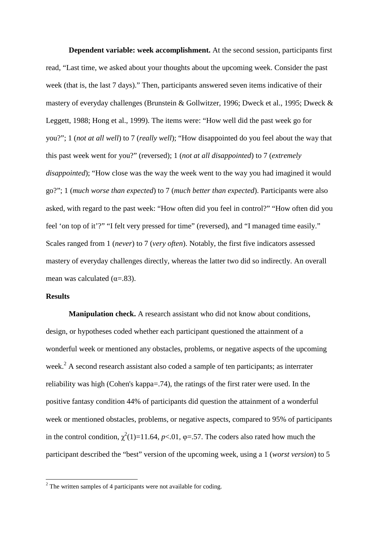**Dependent variable: week accomplishment.** At the second session, participants first read, "Last time, we asked about your thoughts about the upcoming week. Consider the past week (that is, the last 7 days)." Then, participants answered seven items indicative of their mastery of everyday challenges (Brunstein & Gollwitzer, 1996; Dweck et al., 1995; Dweck & Leggett, 1988; Hong et al., 1999). The items were: "How well did the past week go for you?"; 1 (*not at all well*) to 7 (*really well*); "How disappointed do you feel about the way that this past week went for you?" (reversed); 1 (*not at all disappointed*) to 7 (*extremely disappointed*); "How close was the way the week went to the way you had imagined it would go?"; 1 (*much worse than expected*) to 7 (*much better than expected*). Participants were also asked, with regard to the past week: "How often did you feel in control?" "How often did you feel 'on top of it'?" "I felt very pressed for time" (reversed), and "I managed time easily." Scales ranged from 1 (*never*) to 7 (*very often*). Notably, the first five indicators assessed mastery of everyday challenges directly, whereas the latter two did so indirectly. An overall mean was calculated  $(\alpha = .83)$ .

## **Results**

l

**Manipulation check.** A research assistant who did not know about conditions, design, or hypotheses coded whether each participant questioned the attainment of a wonderful week or mentioned any obstacles, problems, or negative aspects of the upcoming week.<sup>2</sup> A second research assistant also coded a sample of ten participants; as interrater reliability was high (Cohen's kappa=.74), the ratings of the first rater were used. In the positive fantasy condition 44% of participants did question the attainment of a wonderful week or mentioned obstacles, problems, or negative aspects, compared to 95% of participants in the control condition,  $\chi^2(1)=11.64$ ,  $p<0.1$ ,  $\varphi=0.57$ . The coders also rated how much the participant described the "best" version of the upcoming week, using a 1 (*worst version*) to 5

 $2^2$  The written samples of 4 participants were not available for coding.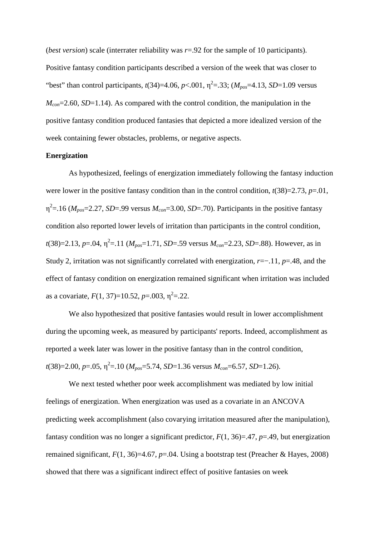(*best version*) scale (interrater reliability was *r*=.92 for the sample of 10 participants). Positive fantasy condition participants described a version of the week that was closer to "best" than control participants,  $t(34)=4.06$ ,  $p<.001$ ,  $\eta^2 = .33$ ;  $(M_{pos}=4.13, SD=1.09$  versus  $M_{\text{con}}=2.60$ , *SD*=1.14). As compared with the control condition, the manipulation in the positive fantasy condition produced fantasies that depicted a more idealized version of the week containing fewer obstacles, problems, or negative aspects.

#### **Energization**

As hypothesized, feelings of energization immediately following the fantasy induction were lower in the positive fantasy condition than in the control condition, *t*(38)=2.73, *p*=.01, η 2 =.16 (*Mpos*=2.27, *SD*=.99 versus *Mcon*=3.00, *SD*=.70). Participants in the positive fantasy condition also reported lower levels of irritation than participants in the control condition,  $t(38)=2.13, p=.04, \eta^2=.11 \ (M_{pos}=1.71, SD=.59 \text{ versus } M_{con}=2.23, SD=.88)$ . However, as in Study 2, irritation was not significantly correlated with energization, *r*=−.11, *p*=.48, and the effect of fantasy condition on energization remained significant when irritation was included as a covariate,  $F(1, 37)=10.52$ ,  $p=.003$ ,  $\eta^2=.22$ .

We also hypothesized that positive fantasies would result in lower accomplishment during the upcoming week, as measured by participants' reports. Indeed, accomplishment as reported a week later was lower in the positive fantasy than in the control condition,  $t(38)=2.00, p=.05, \eta^2=.10$  ( $M_{pos}=5.74, SD=1.36$  versus  $M_{con}=6.57, SD=1.26$ ).

We next tested whether poor week accomplishment was mediated by low initial feelings of energization. When energization was used as a covariate in an ANCOVA predicting week accomplishment (also covarying irritation measured after the manipulation), fantasy condition was no longer a significant predictor,  $F(1, 36)=17$ ,  $p=.49$ , but energization remained significant,  $F(1, 36)=4.67$ ,  $p=.04$ . Using a bootstrap test (Preacher & Hayes, 2008) showed that there was a significant indirect effect of positive fantasies on week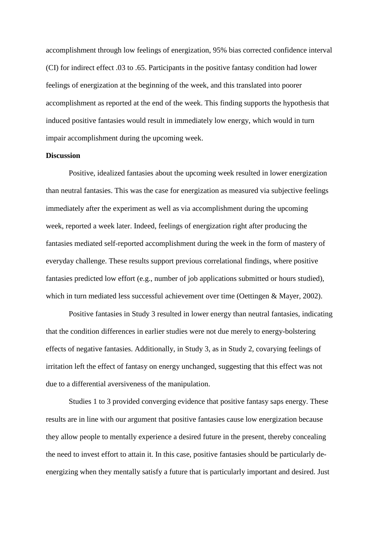accomplishment through low feelings of energization, 95% bias corrected confidence interval (CI) for indirect effect .03 to .65. Participants in the positive fantasy condition had lower feelings of energization at the beginning of the week, and this translated into poorer accomplishment as reported at the end of the week. This finding supports the hypothesis that induced positive fantasies would result in immediately low energy, which would in turn impair accomplishment during the upcoming week.

#### **Discussion**

Positive, idealized fantasies about the upcoming week resulted in lower energization than neutral fantasies. This was the case for energization as measured via subjective feelings immediately after the experiment as well as via accomplishment during the upcoming week, reported a week later. Indeed, feelings of energization right after producing the fantasies mediated self-reported accomplishment during the week in the form of mastery of everyday challenge. These results support previous correlational findings, where positive fantasies predicted low effort (e.g., number of job applications submitted or hours studied), which in turn mediated less successful achievement over time (Oettingen & Mayer, 2002).

Positive fantasies in Study 3 resulted in lower energy than neutral fantasies, indicating that the condition differences in earlier studies were not due merely to energy-bolstering effects of negative fantasies. Additionally, in Study 3, as in Study 2, covarying feelings of irritation left the effect of fantasy on energy unchanged, suggesting that this effect was not due to a differential aversiveness of the manipulation.

Studies 1 to 3 provided converging evidence that positive fantasy saps energy. These results are in line with our argument that positive fantasies cause low energization because they allow people to mentally experience a desired future in the present, thereby concealing the need to invest effort to attain it. In this case, positive fantasies should be particularly deenergizing when they mentally satisfy a future that is particularly important and desired. Just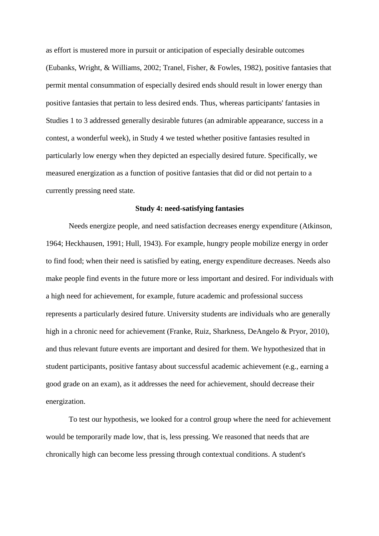as effort is mustered more in pursuit or anticipation of especially desirable outcomes (Eubanks, Wright, & Williams, 2002; Tranel, Fisher, & Fowles, 1982), positive fantasies that permit mental consummation of especially desired ends should result in lower energy than positive fantasies that pertain to less desired ends. Thus, whereas participants' fantasies in Studies 1 to 3 addressed generally desirable futures (an admirable appearance, success in a contest, a wonderful week), in Study 4 we tested whether positive fantasies resulted in particularly low energy when they depicted an especially desired future. Specifically, we measured energization as a function of positive fantasies that did or did not pertain to a currently pressing need state.

#### **Study 4: need-satisfying fantasies**

Needs energize people, and need satisfaction decreases energy expenditure (Atkinson, 1964; Heckhausen, 1991; Hull, 1943). For example, hungry people mobilize energy in order to find food; when their need is satisfied by eating, energy expenditure decreases. Needs also make people find events in the future more or less important and desired. For individuals with a high need for achievement, for example, future academic and professional success represents a particularly desired future. University students are individuals who are generally high in a chronic need for achievement (Franke, Ruiz, Sharkness, DeAngelo & Pryor, 2010), and thus relevant future events are important and desired for them. We hypothesized that in student participants, positive fantasy about successful academic achievement (e.g., earning a good grade on an exam), as it addresses the need for achievement, should decrease their energization.

To test our hypothesis, we looked for a control group where the need for achievement would be temporarily made low, that is, less pressing. We reasoned that needs that are chronically high can become less pressing through contextual conditions. A student's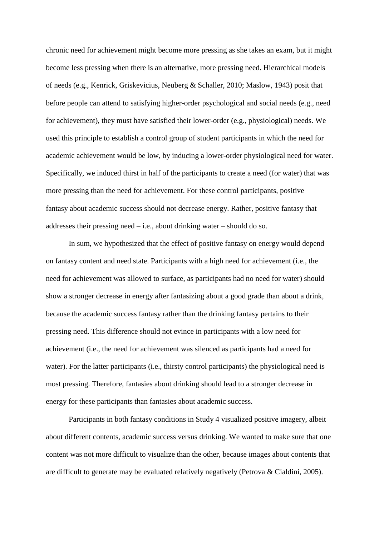chronic need for achievement might become more pressing as she takes an exam, but it might become less pressing when there is an alternative, more pressing need. Hierarchical models of needs (e.g., Kenrick, Griskevicius, Neuberg & Schaller, 2010; Maslow, 1943) posit that before people can attend to satisfying higher-order psychological and social needs (e.g., need for achievement), they must have satisfied their lower-order (e.g., physiological) needs. We used this principle to establish a control group of student participants in which the need for academic achievement would be low, by inducing a lower-order physiological need for water. Specifically, we induced thirst in half of the participants to create a need (for water) that was more pressing than the need for achievement. For these control participants, positive fantasy about academic success should not decrease energy. Rather, positive fantasy that addresses their pressing need  $-$  i.e., about drinking water  $-$  should do so.

In sum, we hypothesized that the effect of positive fantasy on energy would depend on fantasy content and need state. Participants with a high need for achievement (i.e., the need for achievement was allowed to surface, as participants had no need for water) should show a stronger decrease in energy after fantasizing about a good grade than about a drink, because the academic success fantasy rather than the drinking fantasy pertains to their pressing need. This difference should not evince in participants with a low need for achievement (i.e., the need for achievement was silenced as participants had a need for water). For the latter participants (i.e., thirsty control participants) the physiological need is most pressing. Therefore, fantasies about drinking should lead to a stronger decrease in energy for these participants than fantasies about academic success.

Participants in both fantasy conditions in Study 4 visualized positive imagery, albeit about different contents, academic success versus drinking. We wanted to make sure that one content was not more difficult to visualize than the other, because images about contents that are difficult to generate may be evaluated relatively negatively (Petrova & Cialdini, 2005).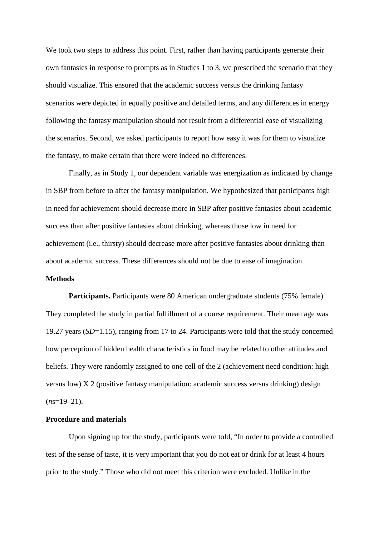We took two steps to address this point. First, rather than having participants generate their own fantasies in response to prompts as in Studies 1 to 3, we prescribed the scenario that they should visualize. This ensured that the academic success versus the drinking fantasy scenarios were depicted in equally positive and detailed terms, and any differences in energy following the fantasy manipulation should not result from a differential ease of visualizing the scenarios. Second, we asked participants to report how easy it was for them to visualize the fantasy, to make certain that there were indeed no differences.

Finally, as in Study 1, our dependent variable was energization as indicated by change in SBP from before to after the fantasy manipulation. We hypothesized that participants high in need for achievement should decrease more in SBP after positive fantasies about academic success than after positive fantasies about drinking, whereas those low in need for achievement (i.e., thirsty) should decrease more after positive fantasies about drinking than about academic success. These differences should not be due to ease of imagination.

#### **Methods**

**Participants.** Participants were 80 American undergraduate students (75% female). They completed the study in partial fulfillment of a course requirement. Their mean age was 19.27 years (*SD*=1.15), ranging from 17 to 24. Participants were told that the study concerned how perception of hidden health characteristics in food may be related to other attitudes and beliefs. They were randomly assigned to one cell of the 2 (achievement need condition: high versus low) X 2 (positive fantasy manipulation: academic success versus drinking) design  $(ns=19-21)$ .

# **Procedure and materials**

Upon signing up for the study, participants were told, "In order to provide a controlled test of the sense of taste, it is very important that you do not eat or drink for at least 4 hours prior to the study." Those who did not meet this criterion were excluded. Unlike in the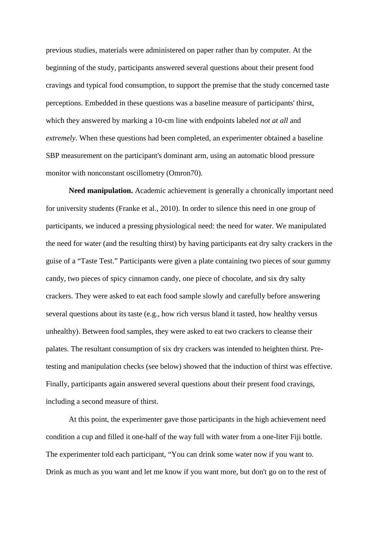previous studies, materials were administered on paper rather than by computer. At the beginning of the study, participants answered several questions about their present food cravings and typical food consumption, to support the premise that the study concerned taste perceptions. Embedded in these questions was a baseline measure of participants' thirst, which they answered by marking a 10-cm line with endpoints labeled *not at all* and *extremely*. When these questions had been completed, an experimenter obtained a baseline SBP measurement on the participant's dominant arm, using an automatic blood pressure monitor with nonconstant oscillometry (Omron70).

**Need manipulation.** Academic achievement is generally a chronically important need for university students (Franke et al., 2010). In order to silence this need in one group of participants, we induced a pressing physiological need: the need for water. We manipulated the need for water (and the resulting thirst) by having participants eat dry salty crackers in the guise of a "Taste Test." Participants were given a plate containing two pieces of sour gummy candy, two pieces of spicy cinnamon candy, one piece of chocolate, and six dry salty crackers. They were asked to eat each food sample slowly and carefully before answering several questions about its taste (e.g., how rich versus bland it tasted, how healthy versus unhealthy). Between food samples, they were asked to eat two crackers to cleanse their palates. The resultant consumption of six dry crackers was intended to heighten thirst. Pretesting and manipulation checks (see below) showed that the induction of thirst was effective. Finally, participants again answered several questions about their present food cravings, including a second measure of thirst.

At this point, the experimenter gave those participants in the high achievement need condition a cup and filled it one-half of the way full with water from a one-liter Fiji bottle. The experimenter told each participant, "You can drink some water now if you want to. Drink as much as you want and let me know if you want more, but don't go on to the rest of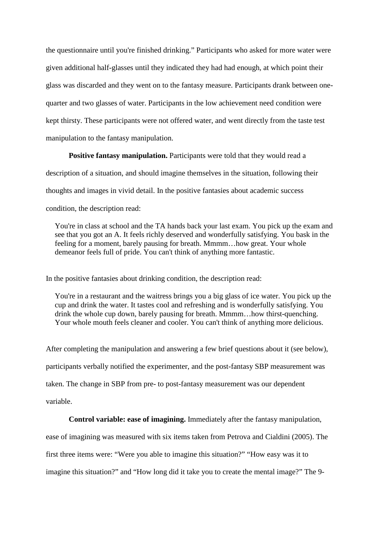the questionnaire until you're finished drinking." Participants who asked for more water were given additional half-glasses until they indicated they had had enough, at which point their glass was discarded and they went on to the fantasy measure. Participants drank between onequarter and two glasses of water. Participants in the low achievement need condition were kept thirsty. These participants were not offered water, and went directly from the taste test manipulation to the fantasy manipulation.

#### **Positive fantasy manipulation.** Participants were told that they would read a

description of a situation, and should imagine themselves in the situation, following their

thoughts and images in vivid detail. In the positive fantasies about academic success

condition, the description read:

You're in class at school and the TA hands back your last exam. You pick up the exam and see that you got an A. It feels richly deserved and wonderfully satisfying. You bask in the feeling for a moment, barely pausing for breath. Mmmm…how great. Your whole demeanor feels full of pride. You can't think of anything more fantastic.

In the positive fantasies about drinking condition, the description read:

You're in a restaurant and the waitress brings you a big glass of ice water. You pick up the cup and drink the water. It tastes cool and refreshing and is wonderfully satisfying. You drink the whole cup down, barely pausing for breath. Mmmm…how thirst-quenching. Your whole mouth feels cleaner and cooler. You can't think of anything more delicious.

After completing the manipulation and answering a few brief questions about it (see below), participants verbally notified the experimenter, and the post-fantasy SBP measurement was taken. The change in SBP from pre- to post-fantasy measurement was our dependent variable.

#### **Control variable: ease of imagining.** Immediately after the fantasy manipulation,

ease of imagining was measured with six items taken from Petrova and Cialdini (2005). The

first three items were: "Were you able to imagine this situation?" "How easy was it to

imagine this situation?" and "How long did it take you to create the mental image?" The 9-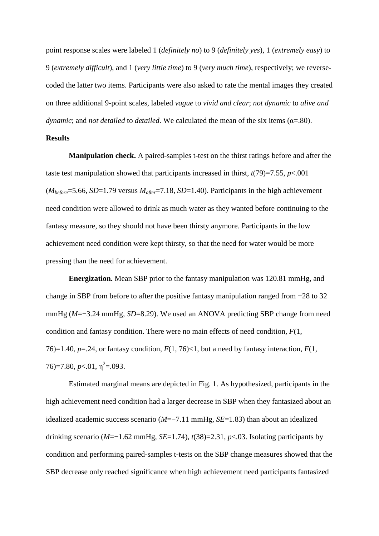point response scales were labeled 1 (*definitely no*) to 9 (*definitely yes*), 1 (*extremely easy*) to 9 (*extremely difficult*), and 1 (*very little time*) to 9 (*very much time*), respectively; we reversecoded the latter two items. Participants were also asked to rate the mental images they created on three additional 9-point scales, labeled *vague* to *vivid and clear*; *not dynamic* to *alive and dynamic*; and *not detailed* to *detailed*. We calculated the mean of the six items (α=.80).

# **Results**

**Manipulation check.** A paired-samples t-test on the thirst ratings before and after the taste test manipulation showed that participants increased in thirst,  $t(79)=7.55$ ,  $p<.001$ (*Mbefore*=5.66, *SD*=1.79 versus *Mafter*=7.18, *SD*=1.40). Participants in the high achievement need condition were allowed to drink as much water as they wanted before continuing to the fantasy measure, so they should not have been thirsty anymore. Participants in the low achievement need condition were kept thirsty, so that the need for water would be more pressing than the need for achievement.

**Energization.** Mean SBP prior to the fantasy manipulation was 120.81 mmHg, and change in SBP from before to after the positive fantasy manipulation ranged from −28 to 32 mmHg (*M*=−3.24 mmHg, *SD*=8.29). We used an ANOVA predicting SBP change from need condition and fantasy condition. There were no main effects of need condition, *F*(1, 76)=1.40, *p*=.24, or fantasy condition, *F*(1, 76)<1, but a need by fantasy interaction, *F*(1,  $76$ =7.80,  $p<.01$ ,  $\eta^2$ =.093.

Estimated marginal means are depicted in Fig. 1. As hypothesized, participants in the high achievement need condition had a larger decrease in SBP when they fantasized about an idealized academic success scenario (*M*=−7.11 mmHg, *SE*=1.83) than about an idealized drinking scenario (*M*=−1.62 mmHg, *SE*=1.74), *t*(38)=2.31, *p*<.03. Isolating participants by condition and performing paired-samples t-tests on the SBP change measures showed that the SBP decrease only reached significance when high achievement need participants fantasized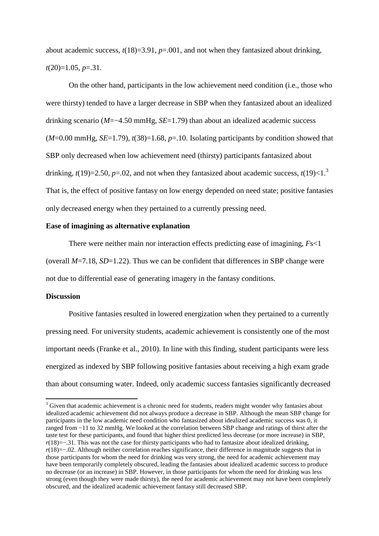about academic success,  $t(18)=3.91$ ,  $p=.001$ , and not when they fantasized about drinking, *t*(20)=1.05, *p*=.31.

On the other hand, participants in the low achievement need condition (i.e., those who were thirsty) tended to have a larger decrease in SBP when they fantasized about an idealized drinking scenario (*M*=−4.50 mmHg, *SE*=1.79) than about an idealized academic success  $(M=0.00 \text{ mmHg}, SE=1.79)$ ,  $t(38)=1.68$ ,  $p=.10$ . Isolating participants by condition showed that SBP only decreased when low achievement need (thirsty) participants fantasized about drinking,  $t(19)=2.50$ ,  $p=.02$ , and not when they fantasized about academic success,  $t(19) < 1<sup>3</sup>$ That is, the effect of positive fantasy on low energy depended on need state; positive fantasies only decreased energy when they pertained to a currently pressing need.

# **Ease of imagining as alternative explanation**

There were neither main nor interaction effects predicting ease of imagining, *F*s<1 (overall  $M=7.18$ ,  $SD=1.22$ ). Thus we can be confident that differences in SBP change were not due to differential ease of generating imagery in the fantasy conditions.

#### **Discussion**

 $\overline{a}$ 

Positive fantasies resulted in lowered energization when they pertained to a currently pressing need. For university students, academic achievement is consistently one of the most important needs (Franke et al., 2010). In line with this finding, student participants were less energized as indexed by SBP following positive fantasies about receiving a high exam grade than about consuming water. Indeed, only academic success fantasies significantly decreased

 $3$  Given that academic achievement is a chronic need for students, readers might wonder why fantasies about idealized academic achievement did not always produce a decrease in SBP. Although the mean SBP change for participants in the low academic need condition who fantasized about idealized academic success was 0, it ranged from −11 to 32 mmHg. We looked at the correlation between SBP change and ratings of thirst after the taste test for these participants, and found that higher thirst predicted less decrease (or more increase) in SBP, *r*(18)=−.31. This was not the case for thirsty participants who had to fantasize about idealized drinking, *r*(18)=−.02. Although neither correlation reaches significance, their difference in magnitude suggests that in those participants for whom the need for drinking was very strong, the need for academic achievement may have been temporarily completely obscured, leading the fantasies about idealized academic success to produce no decrease (or an increase) in SBP. However, in those participants for whom the need for drinking was less strong (even though they were made thirsty), the need for academic achievement may not have been completely obscured, and the idealized academic achievement fantasy still decreased SBP.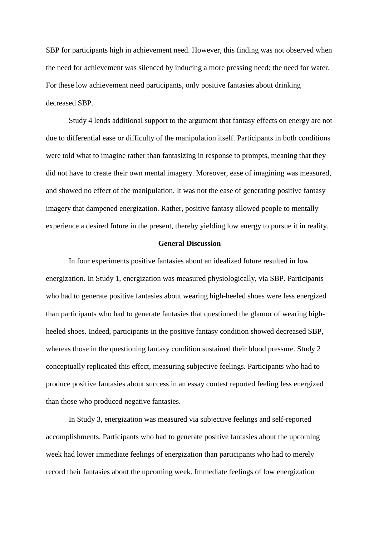SBP for participants high in achievement need. However, this finding was not observed when the need for achievement was silenced by inducing a more pressing need: the need for water. For these low achievement need participants, only positive fantasies about drinking decreased SBP.

Study 4 lends additional support to the argument that fantasy effects on energy are not due to differential ease or difficulty of the manipulation itself. Participants in both conditions were told what to imagine rather than fantasizing in response to prompts, meaning that they did not have to create their own mental imagery. Moreover, ease of imagining was measured, and showed no effect of the manipulation. It was not the ease of generating positive fantasy imagery that dampened energization. Rather, positive fantasy allowed people to mentally experience a desired future in the present, thereby yielding low energy to pursue it in reality.

## **General Discussion**

In four experiments positive fantasies about an idealized future resulted in low energization. In Study 1, energization was measured physiologically, via SBP. Participants who had to generate positive fantasies about wearing high-heeled shoes were less energized than participants who had to generate fantasies that questioned the glamor of wearing highheeled shoes. Indeed, participants in the positive fantasy condition showed decreased SBP, whereas those in the questioning fantasy condition sustained their blood pressure. Study 2 conceptually replicated this effect, measuring subjective feelings. Participants who had to produce positive fantasies about success in an essay contest reported feeling less energized than those who produced negative fantasies.

In Study 3, energization was measured via subjective feelings and self-reported accomplishments. Participants who had to generate positive fantasies about the upcoming week had lower immediate feelings of energization than participants who had to merely record their fantasies about the upcoming week. Immediate feelings of low energization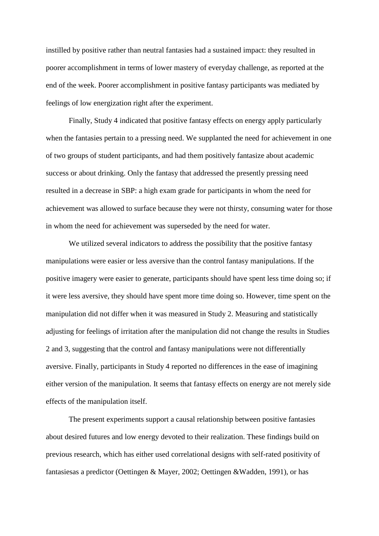instilled by positive rather than neutral fantasies had a sustained impact: they resulted in poorer accomplishment in terms of lower mastery of everyday challenge, as reported at the end of the week. Poorer accomplishment in positive fantasy participants was mediated by feelings of low energization right after the experiment.

Finally, Study 4 indicated that positive fantasy effects on energy apply particularly when the fantasies pertain to a pressing need. We supplanted the need for achievement in one of two groups of student participants, and had them positively fantasize about academic success or about drinking. Only the fantasy that addressed the presently pressing need resulted in a decrease in SBP: a high exam grade for participants in whom the need for achievement was allowed to surface because they were not thirsty, consuming water for those in whom the need for achievement was superseded by the need for water.

We utilized several indicators to address the possibility that the positive fantasy manipulations were easier or less aversive than the control fantasy manipulations. If the positive imagery were easier to generate, participants should have spent less time doing so; if it were less aversive, they should have spent more time doing so. However, time spent on the manipulation did not differ when it was measured in Study 2. Measuring and statistically adjusting for feelings of irritation after the manipulation did not change the results in Studies 2 and 3, suggesting that the control and fantasy manipulations were not differentially aversive. Finally, participants in Study 4 reported no differences in the ease of imagining either version of the manipulation. It seems that fantasy effects on energy are not merely side effects of the manipulation itself.

The present experiments support a causal relationship between positive fantasies about desired futures and low energy devoted to their realization. These findings build on previous research, which has either used correlational designs with self-rated positivity of fantasiesas a predictor (Oettingen & Mayer, 2002; Oettingen &Wadden, 1991), or has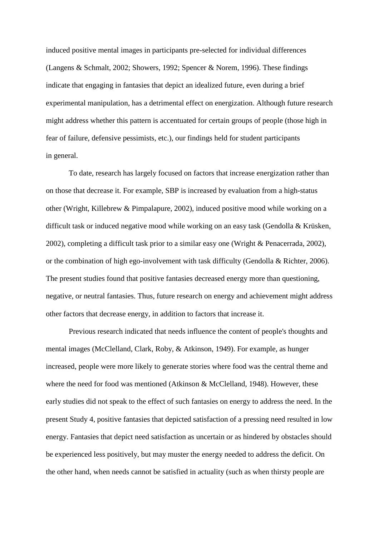induced positive mental images in participants pre-selected for individual differences (Langens & Schmalt, 2002; Showers, 1992; Spencer & Norem, 1996). These findings indicate that engaging in fantasies that depict an idealized future, even during a brief experimental manipulation, has a detrimental effect on energization. Although future research might address whether this pattern is accentuated for certain groups of people (those high in fear of failure, defensive pessimists, etc.), our findings held for student participants in general.

To date, research has largely focused on factors that increase energization rather than on those that decrease it. For example, SBP is increased by evaluation from a high-status other (Wright, Killebrew & Pimpalapure, 2002), induced positive mood while working on a difficult task or induced negative mood while working on an easy task (Gendolla & Krüsken, 2002), completing a difficult task prior to a similar easy one (Wright & Penacerrada, 2002), or the combination of high ego-involvement with task difficulty (Gendolla & Richter, 2006). The present studies found that positive fantasies decreased energy more than questioning, negative, or neutral fantasies. Thus, future research on energy and achievement might address other factors that decrease energy, in addition to factors that increase it.

Previous research indicated that needs influence the content of people's thoughts and mental images (McClelland, Clark, Roby, & Atkinson, 1949). For example, as hunger increased, people were more likely to generate stories where food was the central theme and where the need for food was mentioned (Atkinson & McClelland, 1948). However, these early studies did not speak to the effect of such fantasies on energy to address the need. In the present Study 4, positive fantasies that depicted satisfaction of a pressing need resulted in low energy. Fantasies that depict need satisfaction as uncertain or as hindered by obstacles should be experienced less positively, but may muster the energy needed to address the deficit. On the other hand, when needs cannot be satisfied in actuality (such as when thirsty people are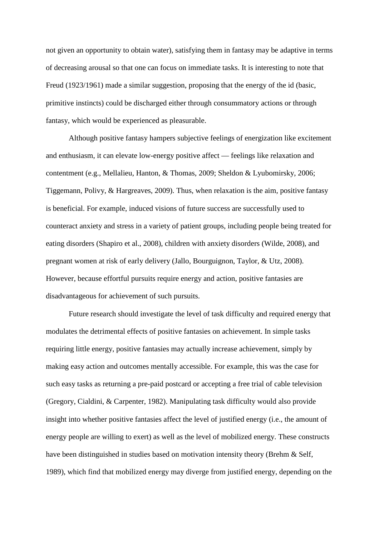not given an opportunity to obtain water), satisfying them in fantasy may be adaptive in terms of decreasing arousal so that one can focus on immediate tasks. It is interesting to note that Freud (1923/1961) made a similar suggestion, proposing that the energy of the id (basic, primitive instincts) could be discharged either through consummatory actions or through fantasy, which would be experienced as pleasurable.

Although positive fantasy hampers subjective feelings of energization like excitement and enthusiasm, it can elevate low-energy positive affect — feelings like relaxation and contentment (e.g., Mellalieu, Hanton, & Thomas, 2009; Sheldon & Lyubomirsky, 2006; Tiggemann, Polivy, & Hargreaves, 2009). Thus, when relaxation is the aim, positive fantasy is beneficial. For example, induced visions of future success are successfully used to counteract anxiety and stress in a variety of patient groups, including people being treated for eating disorders (Shapiro et al., 2008), children with anxiety disorders (Wilde, 2008), and pregnant women at risk of early delivery (Jallo, Bourguignon, Taylor, & Utz, 2008). However, because effortful pursuits require energy and action, positive fantasies are disadvantageous for achievement of such pursuits.

Future research should investigate the level of task difficulty and required energy that modulates the detrimental effects of positive fantasies on achievement. In simple tasks requiring little energy, positive fantasies may actually increase achievement, simply by making easy action and outcomes mentally accessible. For example, this was the case for such easy tasks as returning a pre-paid postcard or accepting a free trial of cable television (Gregory, Cialdini, & Carpenter, 1982). Manipulating task difficulty would also provide insight into whether positive fantasies affect the level of justified energy (i.e., the amount of energy people are willing to exert) as well as the level of mobilized energy. These constructs have been distinguished in studies based on motivation intensity theory (Brehm & Self, 1989), which find that mobilized energy may diverge from justified energy, depending on the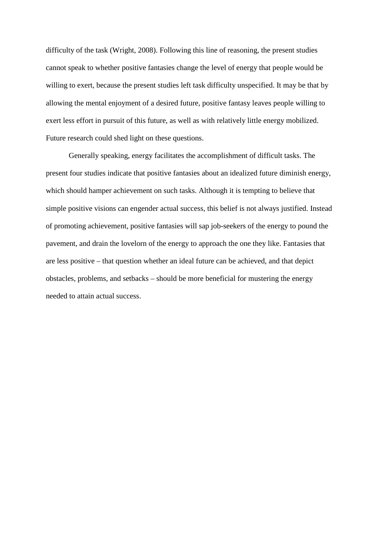difficulty of the task (Wright, 2008). Following this line of reasoning, the present studies cannot speak to whether positive fantasies change the level of energy that people would be willing to exert, because the present studies left task difficulty unspecified. It may be that by allowing the mental enjoyment of a desired future, positive fantasy leaves people willing to exert less effort in pursuit of this future, as well as with relatively little energy mobilized. Future research could shed light on these questions.

Generally speaking, energy facilitates the accomplishment of difficult tasks. The present four studies indicate that positive fantasies about an idealized future diminish energy, which should hamper achievement on such tasks. Although it is tempting to believe that simple positive visions can engender actual success, this belief is not always justified. Instead of promoting achievement, positive fantasies will sap job-seekers of the energy to pound the pavement, and drain the lovelorn of the energy to approach the one they like. Fantasies that are less positive – that question whether an ideal future can be achieved, and that depict obstacles, problems, and setbacks – should be more beneficial for mustering the energy needed to attain actual success.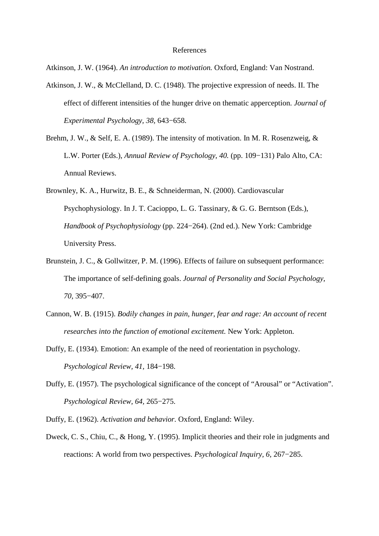#### References

Atkinson, J. W. (1964). *An introduction to motivation.* Oxford, England: Van Nostrand.

- Atkinson, J. W., & McClelland, D. C. (1948). The projective expression of needs. II. The effect of different intensities of the hunger drive on thematic apperception. *Journal of Experimental Psychology, 38,* 643−658.
- Brehm, J. W., & Self, E. A. (1989). The intensity of motivation. In M. R. Rosenzweig, & L.W. Porter (Eds.), *Annual Review of Psychology, 40.* (pp. 109−131) Palo Alto, CA: Annual Reviews.
- Brownley, K. A., Hurwitz, B. E., & Schneiderman, N. (2000). Cardiovascular Psychophysiology. In J. T. Cacioppo, L. G. Tassinary, & G. G. Berntson (Eds.), *Handbook of Psychophysiology* (pp. 224−264). (2nd ed.). New York: Cambridge University Press.
- Brunstein, J. C., & Gollwitzer, P. M. (1996). Effects of failure on subsequent performance: The importance of self-defining goals. *Journal of Personality and Social Psychology, 70,* 395−407.
- Cannon, W. B. (1915). *Bodily changes in pain, hunger, fear and rage: An account of recent researches into the function of emotional excitement.* New York: Appleton.
- Duffy, E. (1934). Emotion: An example of the need of reorientation in psychology. *Psychological Review, 41,* 184−198.
- Duffy, E. (1957). The psychological significance of the concept of "Arousal" or "Activation". *Psychological Review, 64,* 265−275.
- Duffy, E. (1962). *Activation and behavior.* Oxford, England: Wiley.
- Dweck, C. S., Chiu, C., & Hong, Y. (1995). Implicit theories and their role in judgments and reactions: A world from two perspectives. *Psychological Inquiry, 6,* 267−285.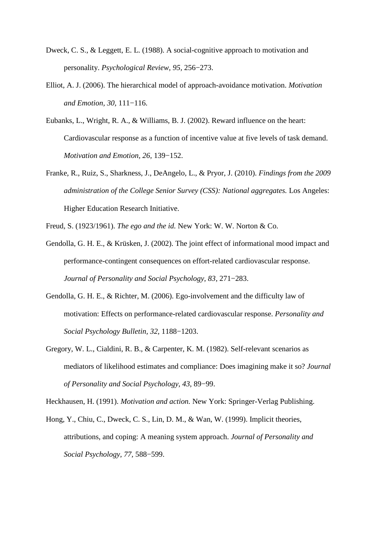- Dweck, C. S., & Leggett, E. L. (1988). A social-cognitive approach to motivation and personality. *Psychological Review, 95,* 256−273.
- Elliot, A. J. (2006). The hierarchical model of approach-avoidance motivation. *Motivation and Emotion, 30,* 111−116.
- Eubanks, L., Wright, R. A., & Williams, B. J. (2002). Reward influence on the heart: Cardiovascular response as a function of incentive value at five levels of task demand. *Motivation and Emotion, 26,* 139−152.
- Franke, R., Ruiz, S., Sharkness, J., DeAngelo, L., & Pryor, J. (2010). *Findings from the 2009 administration of the College Senior Survey (CSS): National aggregates.* Los Angeles: Higher Education Research Initiative.

Freud, S. (1923/1961). *The ego and the id.* New York: W. W. Norton & Co.

- Gendolla, G. H. E., & Krüsken, J. (2002). The joint effect of informational mood impact and performance-contingent consequences on effort-related cardiovascular response. *Journal of Personality and Social Psychology, 83,* 271−283.
- Gendolla, G. H. E., & Richter, M. (2006). Ego-involvement and the difficulty law of motivation: Effects on performance-related cardiovascular response. *Personality and Social Psychology Bulletin, 32,* 1188−1203.
- Gregory, W. L., Cialdini, R. B., & Carpenter, K. M. (1982). Self-relevant scenarios as mediators of likelihood estimates and compliance: Does imagining make it so? *Journal of Personality and Social Psychology, 43,* 89−99.

Heckhausen, H. (1991). *Motivation and action.* New York: Springer-Verlag Publishing.

Hong, Y., Chiu, C., Dweck, C. S., Lin, D. M., & Wan, W. (1999). Implicit theories, attributions, and coping: A meaning system approach. *Journal of Personality and Social Psychology, 77,* 588−599.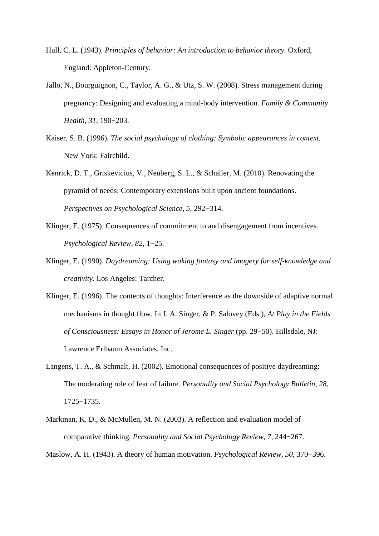- Hull, C. L. (1943). *Principles of behavior: An introduction to behavior theory.* Oxford, England: Appleton-Century.
- Jallo, N., Bourguignon, C., Taylor, A. G., & Utz, S. W. (2008). Stress management during pregnancy: Designing and evaluating a mind-body intervention. *Family & Community Health, 31,* 190−203.
- Kaiser, S. B. (1996). *The social psychology of clothing: Symbolic appearances in context.* New York: Fairchild.
- Kenrick, D. T., Griskevicius, V., Neuberg, S. L., & Schaller, M. (2010). Renovating the pyramid of needs: Contemporary extensions built upon ancient foundations. *Perspectives on Psychological Science, 5,* 292−314.
- Klinger, E. (1975). Consequences of commitment to and disengagement from incentives. *Psychological Review, 82,* 1−25.
- Klinger, E. (1990). *Daydreaming: Using waking fantasy and imagery for self-knowledge and creativity.* Los Angeles: Tarcher.
- Klinger, E. (1996). The contents of thoughts: Interference as the downside of adaptive normal mechanisms in thought flow. In J. A. Singer, & P. Salovey (Eds.), *At Play in the Fields of Consciousness: Essays in Honor of Jerome L. Singer* (pp. 29−50). Hillsdale, NJ: Lawrence Erlbaum Associates, Inc.
- Langens, T. A., & Schmalt, H. (2002). Emotional consequences of positive daydreaming: The moderating role of fear of failure. *Personality and Social Psychology Bulletin, 28,* 1725−1735.
- Markman, K. D., & McMullen, M. N. (2003). A reflection and evaluation model of comparative thinking. *Personality and Social Psychology Review, 7,* 244−267.

Maslow, A. H. (1943). A theory of human motivation. *Psychological Review, 50,* 370−396.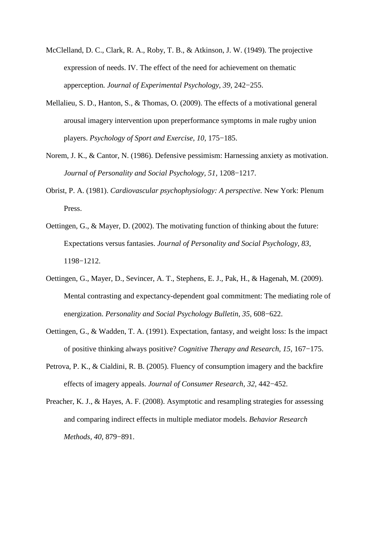- McClelland, D. C., Clark, R. A., Roby, T. B., & Atkinson, J. W. (1949). The projective expression of needs. IV. The effect of the need for achievement on thematic apperception*. Journal of Experimental Psychology, 39,* 242−255.
- Mellalieu, S. D., Hanton, S., & Thomas, O. (2009). The effects of a motivational general arousal imagery intervention upon preperformance symptoms in male rugby union players. *Psychology of Sport and Exercise, 10,* 175−185.
- Norem, J. K., & Cantor, N. (1986). Defensive pessimism: Harnessing anxiety as motivation. *Journal of Personality and Social Psychology, 51,* 1208−1217.
- Obrist, P. A. (1981). *Cardiovascular psychophysiology: A perspective.* New York: Plenum Press.
- Oettingen, G., & Mayer, D. (2002). The motivating function of thinking about the future: Expectations versus fantasies. *Journal of Personality and Social Psychology, 83,* 1198−1212.
- Oettingen, G., Mayer, D., Sevincer, A. T., Stephens, E. J., Pak, H., & Hagenah, M. (2009). Mental contrasting and expectancy-dependent goal commitment: The mediating role of energization. *Personality and Social Psychology Bulletin, 35,* 608−622.
- Oettingen, G., & Wadden, T. A. (1991). Expectation, fantasy, and weight loss: Is the impact of positive thinking always positive? *Cognitive Therapy and Research, 15,* 167−175.
- Petrova, P. K., & Cialdini, R. B. (2005). Fluency of consumption imagery and the backfire effects of imagery appeals. *Journal of Consumer Research, 32,* 442−452.
- Preacher, K. J., & Hayes, A. F. (2008). Asymptotic and resampling strategies for assessing and comparing indirect effects in multiple mediator models. *Behavior Research Methods, 40,* 879−891.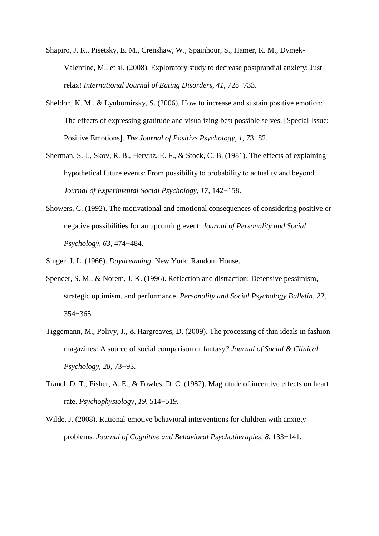- Shapiro, J. R., Pisetsky, E. M., Crenshaw, W., Spainhour, S., Hamer, R. M., Dymek-Valentine, M., et al. (2008). Exploratory study to decrease postprandial anxiety: Just relax! *International Journal of Eating Disorders, 41,* 728−733.
- Sheldon, K. M., & Lyubomirsky, S. (2006). How to increase and sustain positive emotion: The effects of expressing gratitude and visualizing best possible selves. [Special Issue: Positive Emotions]. *The Journal of Positive Psychology, 1,* 73−82.
- Sherman, S. J., Skov, R. B., Hervitz, E. F., & Stock, C. B. (1981). The effects of explaining hypothetical future events: From possibility to probability to actuality and beyond. *Journal of Experimental Social Psychology, 17,* 142−158.
- Showers, C. (1992). The motivational and emotional consequences of considering positive or negative possibilities for an upcoming event. *Journal of Personality and Social Psychology, 63,* 474−484.
- Singer, J. L. (1966). *Daydreaming.* New York: Random House.
- Spencer, S. M., & Norem, J. K. (1996). Reflection and distraction: Defensive pessimism, strategic optimism, and performance. *Personality and Social Psychology Bulletin, 22,* 354−365.
- Tiggemann, M., Polivy, J., & Hargreaves, D. (2009). The processing of thin ideals in fashion magazines: A source of social comparison or fantasy*? Journal of Social & Clinical Psychology, 28,* 73−93.
- Tranel, D. T., Fisher, A. E., & Fowles, D. C. (1982). Magnitude of incentive effects on heart rate. *Psychophysiology, 19,* 514−519.
- Wilde, J. (2008). Rational-emotive behavioral interventions for children with anxiety problems*. Journal of Cognitive and Behavioral Psychotherapies, 8,* 133−141.